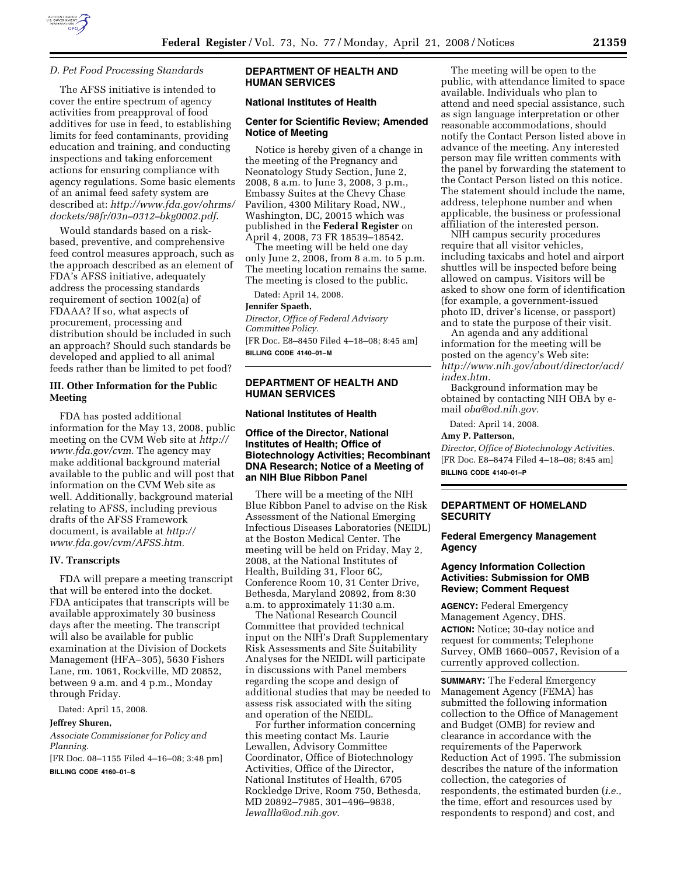

### *D. Pet Food Processing Standards*

The AFSS initiative is intended to cover the entire spectrum of agency activities from preapproval of food additives for use in feed, to establishing limits for feed contaminants, providing education and training, and conducting inspections and taking enforcement actions for ensuring compliance with agency regulations. Some basic elements of an animal feed safety system are described at: *http://www.fda.gov/ohrms/ dockets/98fr/03n–0312–bkg0002.pdf*.

Would standards based on a riskbased, preventive, and comprehensive feed control measures approach, such as the approach described as an element of FDA's AFSS initiative, adequately address the processing standards requirement of section 1002(a) of FDAAA? If so, what aspects of procurement, processing and distribution should be included in such an approach? Should such standards be developed and applied to all animal feeds rather than be limited to pet food?

## **III. Other Information for the Public Meeting**

FDA has posted additional information for the May 13, 2008, public meeting on the CVM Web site at *http:// www.fda.gov/cvm*. The agency may make additional background material available to the public and will post that information on the CVM Web site as well. Additionally, background material relating to AFSS, including previous drafts of the AFSS Framework document, is available at *http:// www.fda.gov/cvm/AFSS.htm*.

#### **IV. Transcripts**

FDA will prepare a meeting transcript that will be entered into the docket. FDA anticipates that transcripts will be available approximately 30 business days after the meeting. The transcript will also be available for public examination at the Division of Dockets Management (HFA–305), 5630 Fishers Lane, rm. 1061, Rockville, MD 20852, between 9 a.m. and 4 p.m., Monday through Friday.

Dated: April 15, 2008.

#### **Jeffrey Shuren,**

*Associate Commissioner for Policy and Planning.* 

[FR Doc. 08–1155 Filed 4–16–08; 3:48 pm] **BILLING CODE 4160–01–S** 

## **DEPARTMENT OF HEALTH AND HUMAN SERVICES**

#### **National Institutes of Health**

### **Center for Scientific Review; Amended Notice of Meeting**

Notice is hereby given of a change in the meeting of the Pregnancy and Neonatology Study Section, June 2, 2008, 8 a.m. to June 3, 2008, 3 p.m., Embassy Suites at the Chevy Chase Pavilion, 4300 Military Road, NW., Washington, DC, 20015 which was published in the **Federal Register** on April 4, 2008, 73 FR 18539–18542.

The meeting will be held one day only June 2, 2008, from 8 a.m. to 5 p.m. The meeting location remains the same. The meeting is closed to the public.

Dated: April 14, 2008.

#### **Jennifer Spaeth,**

*Director, Office of Federal Advisory Committee Policy.*  [FR Doc. E8–8450 Filed 4–18–08; 8:45 am] **BILLING CODE 4140–01–M** 

## **DEPARTMENT OF HEALTH AND HUMAN SERVICES**

### **National Institutes of Health**

## **Office of the Director, National Institutes of Health; Office of Biotechnology Activities; Recombinant DNA Research; Notice of a Meeting of an NIH Blue Ribbon Panel**

There will be a meeting of the NIH Blue Ribbon Panel to advise on the Risk Assessment of the National Emerging Infectious Diseases Laboratories (NEIDL) at the Boston Medical Center. The meeting will be held on Friday, May 2, 2008, at the National Institutes of Health, Building 31, Floor 6C, Conference Room 10, 31 Center Drive, Bethesda, Maryland 20892, from 8:30 a.m. to approximately 11:30 a.m.

The National Research Council Committee that provided technical input on the NIH's Draft Supplementary Risk Assessments and Site Suitability Analyses for the NEIDL will participate in discussions with Panel members regarding the scope and design of additional studies that may be needed to assess risk associated with the siting and operation of the NEIDL.

For further information concerning this meeting contact Ms. Laurie Lewallen, Advisory Committee Coordinator, Office of Biotechnology Activities, Office of the Director, National Institutes of Health, 6705 Rockledge Drive, Room 750, Bethesda, MD 20892–7985, 301–496–9838, *lewallla@od.nih.gov*.

The meeting will be open to the public, with attendance limited to space available. Individuals who plan to attend and need special assistance, such as sign language interpretation or other reasonable accommodations, should notify the Contact Person listed above in advance of the meeting. Any interested person may file written comments with the panel by forwarding the statement to the Contact Person listed on this notice. The statement should include the name, address, telephone number and when applicable, the business or professional affiliation of the interested person.

NIH campus security procedures require that all visitor vehicles, including taxicabs and hotel and airport shuttles will be inspected before being allowed on campus. Visitors will be asked to show one form of identification (for example, a government-issued photo ID, driver's license, or passport) and to state the purpose of their visit.

An agenda and any additional information for the meeting will be posted on the agency's Web site: *http://www.nih.gov/about/director/acd/ index.htm.* 

Background information may be obtained by contacting NIH OBA by email *oba@od.nih.gov.* 

Dated: April 14, 2008.

## **Amy P. Patterson,**

*Director, Office of Biotechnology Activities.*  [FR Doc. E8–8474 Filed 4–18–08; 8:45 am] **BILLING CODE 4140–01–P** 

# **DEPARTMENT OF HOMELAND SECURITY**

# **Federal Emergency Management Agency**

## **Agency Information Collection Activities: Submission for OMB Review; Comment Request**

**AGENCY:** Federal Emergency Management Agency, DHS. **ACTION:** Notice; 30-day notice and request for comments; Telephone Survey, OMB 1660–0057, Revision of a currently approved collection.

**SUMMARY:** The Federal Emergency Management Agency (FEMA) has submitted the following information collection to the Office of Management and Budget (OMB) for review and clearance in accordance with the requirements of the Paperwork Reduction Act of 1995. The submission describes the nature of the information collection, the categories of respondents, the estimated burden (*i.e.*, the time, effort and resources used by respondents to respond) and cost, and